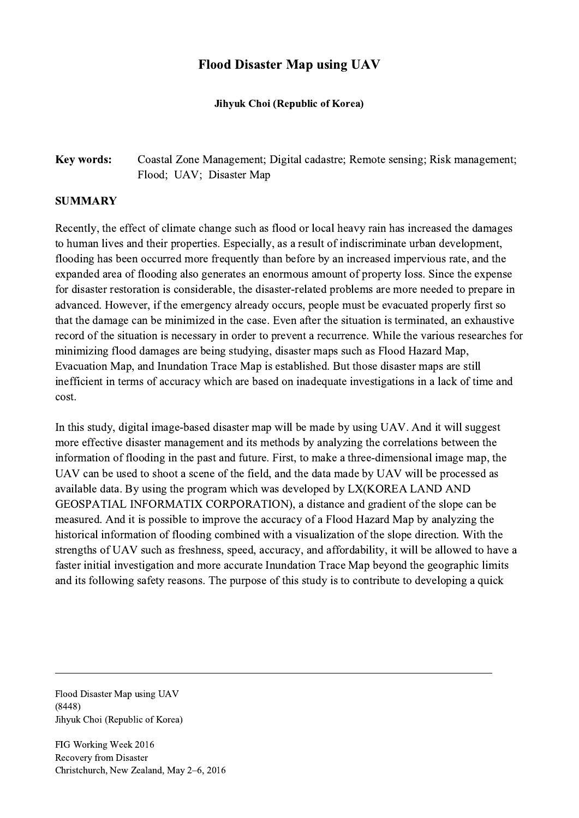## Flood Disaster Map using UAV

## Jihyuk Choi (Republic of Korea)

## Key words: Coastal Zone Management; Digital cadastre; Remote sensing; Risk management; Flood; UAV; Disaster Map

## **SUMMARY**

Recently, the effect of climate change such as flood or local heavy rain has increased the damages to human lives and their properties. Especially, as a result of indiscriminate urban development, flooding has been occurred more frequently than before by an increased impervious rate, and the expanded area of flooding also generates an enormous amount of property loss. Since the expense for disaster restoration is considerable, the disaster-related problems are more needed to prepare in advanced. However, if the emergency already occurs, people must be evacuated properly first so that the damage can be minimized in the case. Even after the situation is terminated, an exhaustive record of the situation is necessary in order to prevent a recurrence. While the various researches for minimizing flood damages are being studying, disaster maps such as Flood Hazard Map, Evacuation Map, and Inundation Trace Map is established. But those disaster maps are still inefficient in terms of accuracy which are based on inadequate investigations in a lack of time and cost.

In this study, digital image-based disaster map will be made by using UAV. And it will suggest more effective disaster management and its methods by analyzing the correlations between the information of flooding in the past and future. First, to make a three-dimensional image map, the UAV can be used to shoot a scene of the field, and the data made by UAV will be processed as available data. By using the program which was developed by LX(KOREA LAND AND GEOSPATIAL INFORMATIX CORPORATION), a distance and gradient of the slope can be measured. And it is possible to improve the accuracy of a Flood Hazard Map by analyzing the historical information of flooding combined with a visualization of the slope direction. With the strengths of UAV such as freshness, speed, accuracy, and affordability, it will be allowed to have a faster initial investigation and more accurate Inundation Trace Map beyond the geographic limits and its following safety reasons. The purpose of this study is to contribute to developing a quick

 $\mathcal{L}_\mathcal{L} = \{ \mathcal{L}_\mathcal{L} = \{ \mathcal{L}_\mathcal{L} = \{ \mathcal{L}_\mathcal{L} = \{ \mathcal{L}_\mathcal{L} = \{ \mathcal{L}_\mathcal{L} = \{ \mathcal{L}_\mathcal{L} = \{ \mathcal{L}_\mathcal{L} = \{ \mathcal{L}_\mathcal{L} = \{ \mathcal{L}_\mathcal{L} = \{ \mathcal{L}_\mathcal{L} = \{ \mathcal{L}_\mathcal{L} = \{ \mathcal{L}_\mathcal{L} = \{ \mathcal{L}_\mathcal{L} = \{ \mathcal{L}_\mathcal{$ 

Flood Disaster Map using UAV (8448) Jihyuk Choi (Republic of Korea)

FIG Working Week 2016 Recovery from Disaster Christchurch, New Zealand, May 2–6, 2016